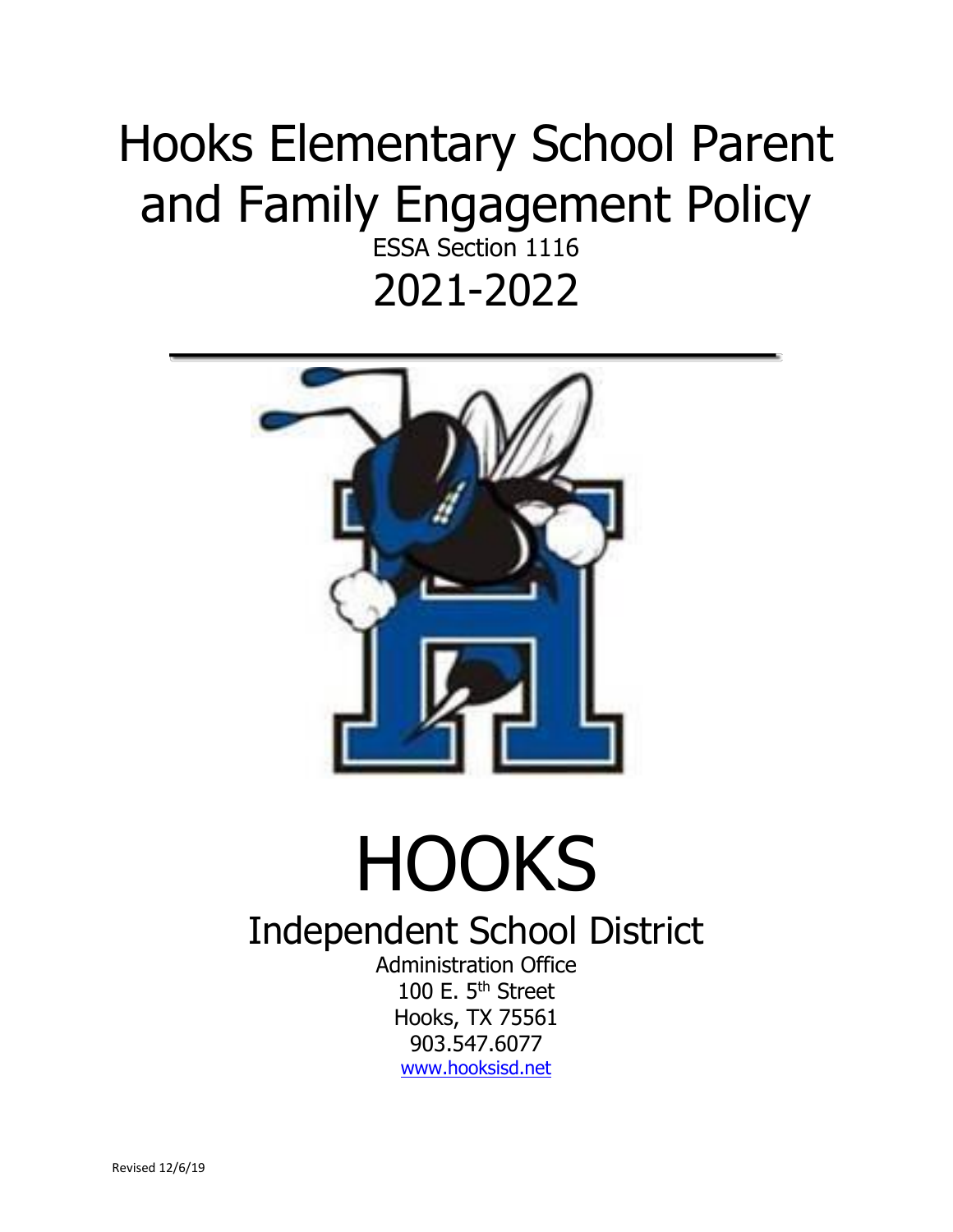## Hooks Elementary School Parent and Family Engagement Policy

ESSA Section 1116 2021-2022



## **HOOKS**

## Independent School District

Administration Office 100 E. 5<sup>th</sup> Street Hooks, TX 75561 903.547.6077 [www.hooksisd.net](http://www.hooksisd.net/)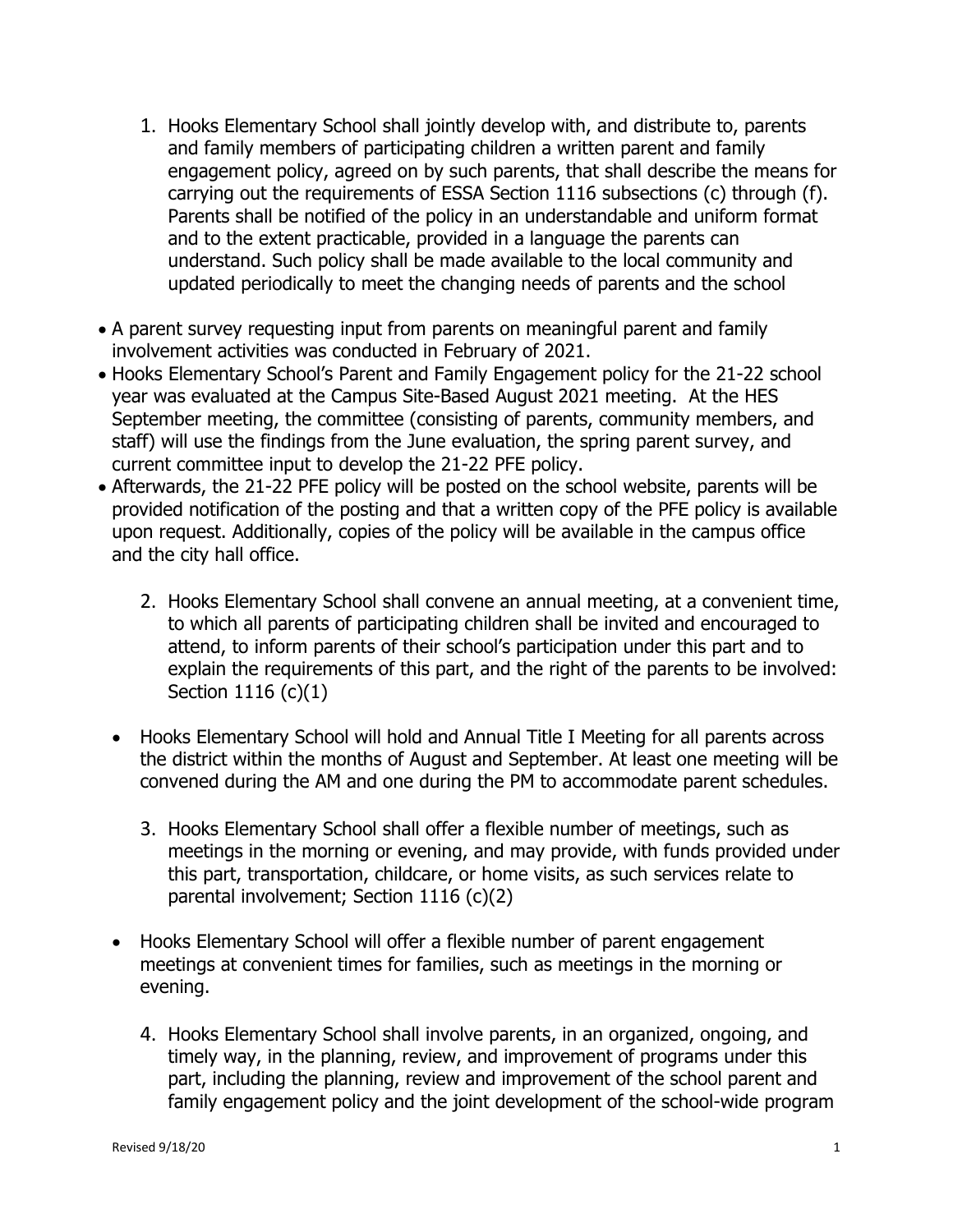- 1. Hooks Elementary School shall jointly develop with, and distribute to, parents and family members of participating children a written parent and family engagement policy, agreed on by such parents, that shall describe the means for carrying out the requirements of ESSA Section 1116 subsections (c) through (f). Parents shall be notified of the policy in an understandable and uniform format and to the extent practicable, provided in a language the parents can understand. Such policy shall be made available to the local community and updated periodically to meet the changing needs of parents and the school
- A parent survey requesting input from parents on meaningful parent and family involvement activities was conducted in February of 2021.
- Hooks Elementary School's Parent and Family Engagement policy for the 21-22 school year was evaluated at the Campus Site-Based August 2021 meeting. At the HES September meeting, the committee (consisting of parents, community members, and staff) will use the findings from the June evaluation, the spring parent survey, and current committee input to develop the 21-22 PFE policy.
- Afterwards, the 21-22 PFE policy will be posted on the school website, parents will be provided notification of the posting and that a written copy of the PFE policy is available upon request. Additionally, copies of the policy will be available in the campus office and the city hall office.
	- 2. Hooks Elementary School shall convene an annual meeting, at a convenient time, to which all parents of participating children shall be invited and encouraged to attend, to inform parents of their school's participation under this part and to explain the requirements of this part, and the right of the parents to be involved: Section 1116 (c)(1)
	- Hooks Elementary School will hold and Annual Title I Meeting for all parents across the district within the months of August and September. At least one meeting will be convened during the AM and one during the PM to accommodate parent schedules.
		- 3. Hooks Elementary School shall offer a flexible number of meetings, such as meetings in the morning or evening, and may provide, with funds provided under this part, transportation, childcare, or home visits, as such services relate to parental involvement; Section 1116 (c)(2)
	- Hooks Elementary School will offer a flexible number of parent engagement meetings at convenient times for families, such as meetings in the morning or evening.
		- 4. Hooks Elementary School shall involve parents, in an organized, ongoing, and timely way, in the planning, review, and improvement of programs under this part, including the planning, review and improvement of the school parent and family engagement policy and the joint development of the school-wide program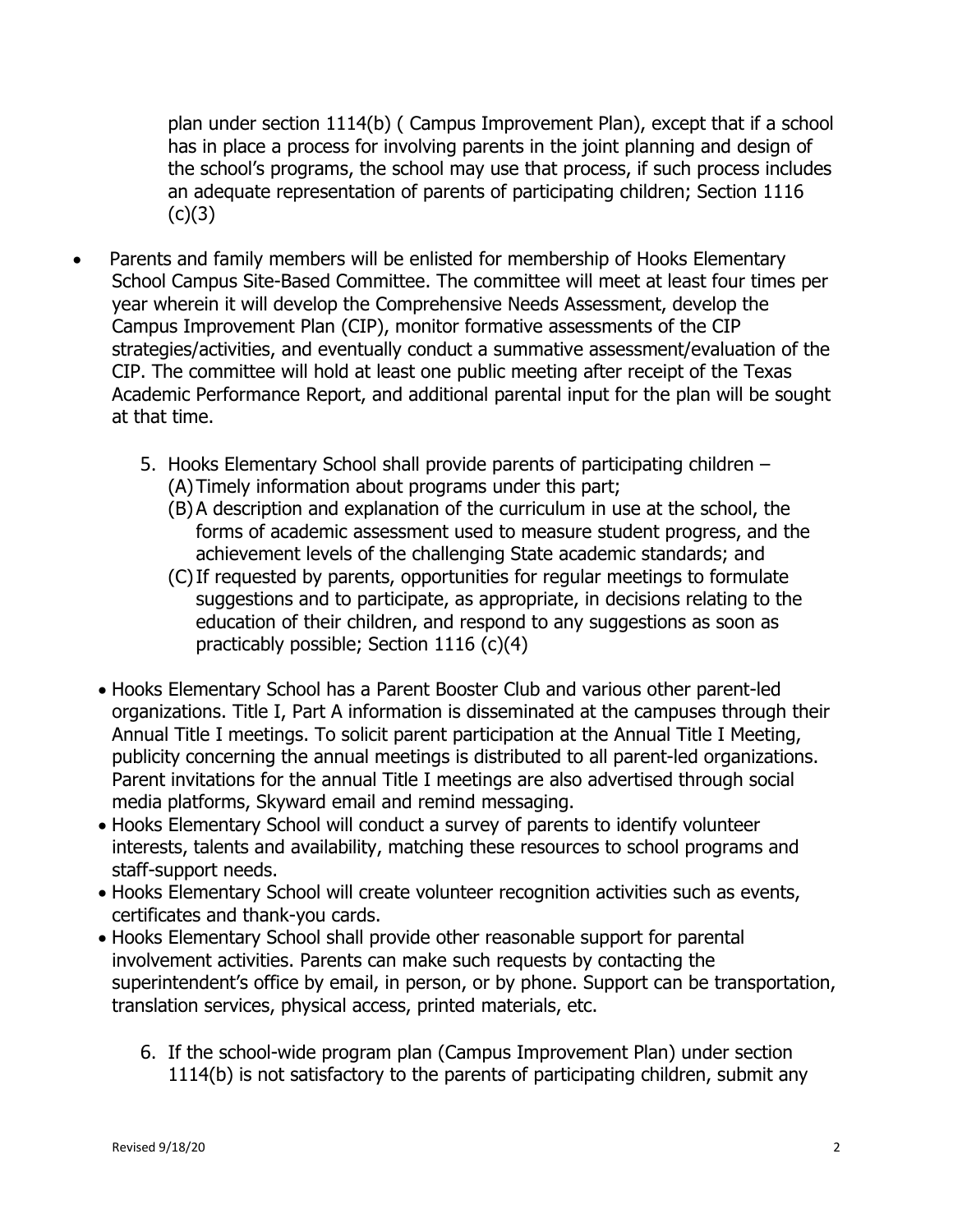plan under section 1114(b) ( Campus Improvement Plan), except that if a school has in place a process for involving parents in the joint planning and design of the school's programs, the school may use that process, if such process includes an adequate representation of parents of participating children; Section 1116  $(c)(3)$ 

- Parents and family members will be enlisted for membership of Hooks Elementary School Campus Site-Based Committee. The committee will meet at least four times per year wherein it will develop the Comprehensive Needs Assessment, develop the Campus Improvement Plan (CIP), monitor formative assessments of the CIP strategies/activities, and eventually conduct a summative assessment/evaluation of the CIP. The committee will hold at least one public meeting after receipt of the Texas Academic Performance Report, and additional parental input for the plan will be sought at that time.
	- 5. Hooks Elementary School shall provide parents of participating children (A)Timely information about programs under this part;
		- (B)A description and explanation of the curriculum in use at the school, the forms of academic assessment used to measure student progress, and the achievement levels of the challenging State academic standards; and
		- (C)If requested by parents, opportunities for regular meetings to formulate suggestions and to participate, as appropriate, in decisions relating to the education of their children, and respond to any suggestions as soon as practicably possible; Section 1116 (c)(4)
	- Hooks Elementary School has a Parent Booster Club and various other parent-led organizations. Title I, Part A information is disseminated at the campuses through their Annual Title I meetings. To solicit parent participation at the Annual Title I Meeting, publicity concerning the annual meetings is distributed to all parent-led organizations. Parent invitations for the annual Title I meetings are also advertised through social media platforms, Skyward email and remind messaging.
	- Hooks Elementary School will conduct a survey of parents to identify volunteer interests, talents and availability, matching these resources to school programs and staff-support needs.
	- Hooks Elementary School will create volunteer recognition activities such as events, certificates and thank-you cards.
	- Hooks Elementary School shall provide other reasonable support for parental involvement activities. Parents can make such requests by contacting the superintendent's office by email, in person, or by phone. Support can be transportation, translation services, physical access, printed materials, etc.
		- 6. If the school-wide program plan (Campus Improvement Plan) under section 1114(b) is not satisfactory to the parents of participating children, submit any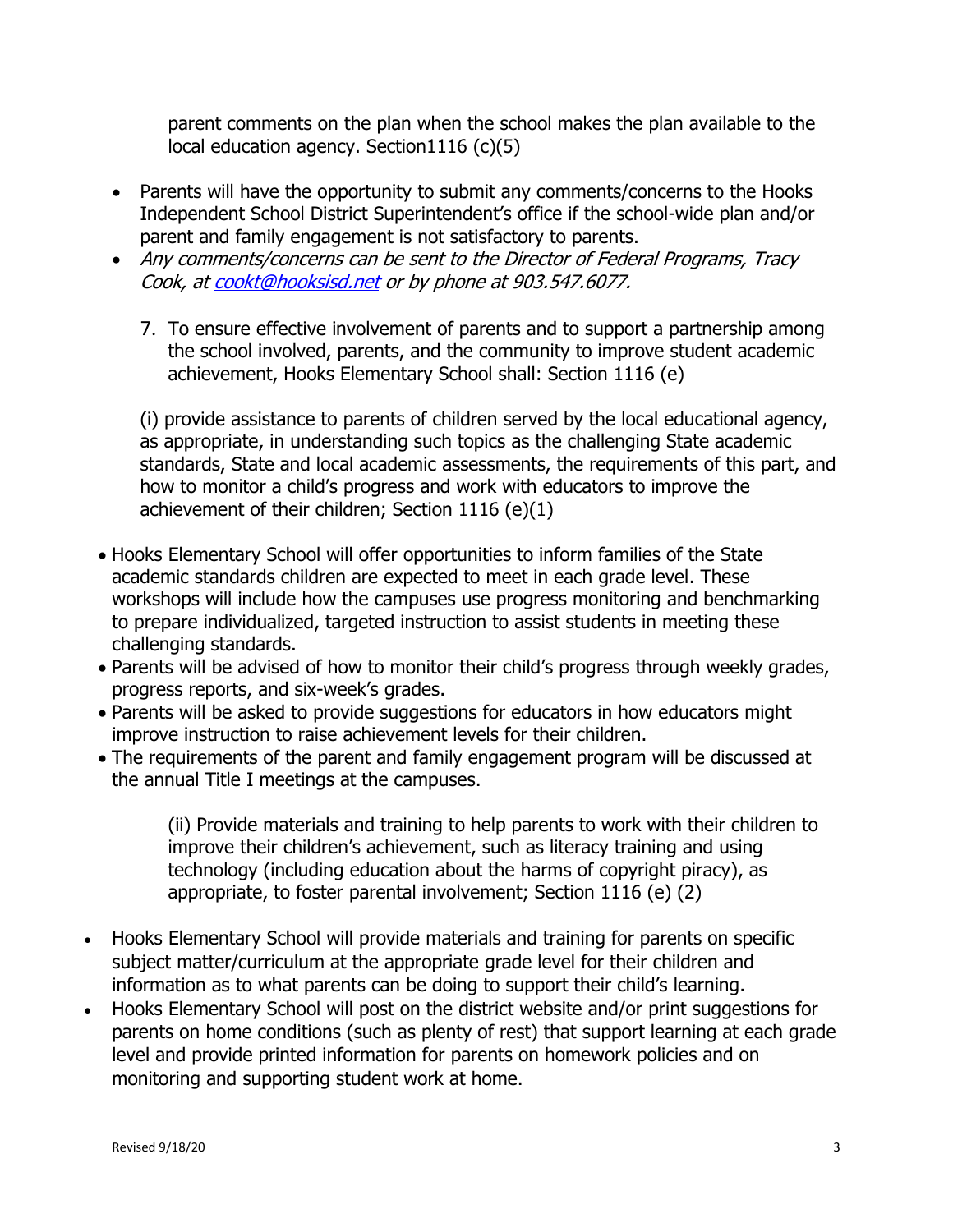parent comments on the plan when the school makes the plan available to the local education agency. Section1116 (c)(5)

- Parents will have the opportunity to submit any comments/concerns to the Hooks Independent School District Superintendent's office if the school-wide plan and/or parent and family engagement is not satisfactory to parents.
- Any comments/concerns can be sent to the Director of Federal Programs, Tracy Cook, a[t cookt@hooksisd.net](mailto:cookt@hooksisd.net) or by phone at 903.547.6077.
	- 7. To ensure effective involvement of parents and to support a partnership among the school involved, parents, and the community to improve student academic achievement, Hooks Elementary School shall: Section 1116 (e)

(i) provide assistance to parents of children served by the local educational agency, as appropriate, in understanding such topics as the challenging State academic standards, State and local academic assessments, the requirements of this part, and how to monitor a child's progress and work with educators to improve the achievement of their children; Section 1116 (e)(1)

- Hooks Elementary School will offer opportunities to inform families of the State academic standards children are expected to meet in each grade level. These workshops will include how the campuses use progress monitoring and benchmarking to prepare individualized, targeted instruction to assist students in meeting these challenging standards.
- Parents will be advised of how to monitor their child's progress through weekly grades, progress reports, and six-week's grades.
- Parents will be asked to provide suggestions for educators in how educators might improve instruction to raise achievement levels for their children.
- The requirements of the parent and family engagement program will be discussed at the annual Title I meetings at the campuses.

(ii) Provide materials and training to help parents to work with their children to improve their children's achievement, such as literacy training and using technology (including education about the harms of copyright piracy), as appropriate, to foster parental involvement; Section 1116 (e) (2)

- Hooks Elementary School will provide materials and training for parents on specific subject matter/curriculum at the appropriate grade level for their children and information as to what parents can be doing to support their child's learning.
- Hooks Elementary School will post on the district website and/or print suggestions for parents on home conditions (such as plenty of rest) that support learning at each grade level and provide printed information for parents on homework policies and on monitoring and supporting student work at home.